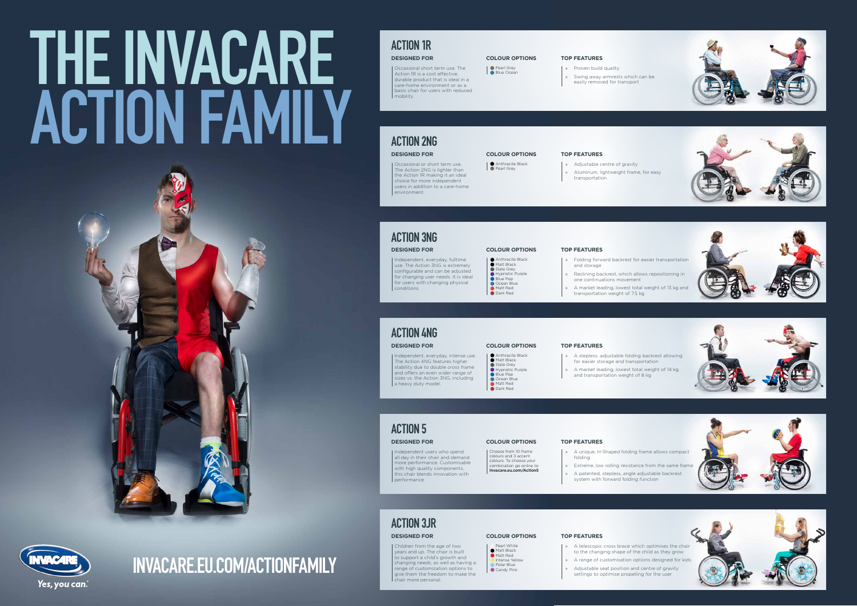Occasional short term use. The Action 1R is a cost effective, durable product that is ideal in a care-home environment or as a basic chair for users with reduced mobility.

Occasional or short term use. The Action 2NG is lighter than the Action 1R making it an ideal choice for more independent users in addition to a care-home environment.

Independent, everyday, fulltime use. The Action 3NG is extremely configurable and can be adjusted for changing user needs. It is ideal for users with changing physical conditions.

Independent users who spend all day in their chair and demand more performance. Customisable with high quality components, this chair blends innovation with performance

- » Proven build quality
- » Swing away armrests which can be easily removed for transport

- » Adjustable centre of gravity
- » Aluminum, lightweight frame, for easy transportation

- Anthracite Black
- Matt Black Slate Grey
- **Hypnotic Purple**
- Blue Pop Ocean Blue
- Matt Red **Dark Red**
- » Folding forward backrest for easier transportation and storage
- » Reclining backrest, which allows repositioning in one continuations movement
- » A market leading, lowest total weight of 13 kg and transportation weight of 7.5 kg

- » A stepless, adjustable folding backrest allowing for easier storage and transportation
- » A market leading, lowest total weight of 14 kg and transportation weight of 8 kg

- » A unique, H-Shaped folding frame allows compact folding
- » Extreme, low rolling resistance from the same frame
- » A patented, stepless, angle adjustable backrest system with forward folding function

# ACTION 1R

# ACTION 3NG

### ACTION 4NG

# ACTION 5

### **TOP FEATURES**

### **TOP FEATURES**

### ACTION 2NG **DESIGNED FOR**

### **TOP FEATURES**

### **TOP FEATURES**

### **TOP FEATURES**

### **DESIGNED FOR**

**DESIGNED FOR**

**DESIGNED FOR**

| Independent, everyday, intense use. The Action 4NG features higher stability due to double cross frame and offers an even wider range of sizes vs. the Action 3NG, including a heavy duty model.

### **DESIGNED FOR**

Choose from 10 frame colours and 3 accent colours. To choose your combination go online to: Invacare.eu.com/Action5

### **COLOUR OPTIONS**

**●** Pearl Grey Blue Ocean

### **COLOUR OPTIONS**

**Anthracite Black Pearl Grey** 

### **COLOUR OPTIONS**

- **Anthracite Black Matt Black**
- Slate Grey
- **Hypnotic Purple** Blue Pop
- Ocean Blue
- Matt Red **O** Dark Red

### **COLOUR OPTIONS**

### **COLOUR OPTIONS**

Children from the age of two years and up. The chair is built to support a child's growth and changing needs, as well as having a range of customization options to give them the freedom to make the chair more personal.

- » A telescopic cross brace which optimises the chair to the changing shape of the child as they grow
- » A range of customisation options designed for kids
- » Adjustable seat position and centre of gravity settings to optimise propelling for the user















# ACTION 3JR

### **DESIGNED FOR TOP FEATURES COLOUR OPTIONS**

### Pearl White

- **Matt Black**  Matt Red **Intense Yellow**
- **Polar Blue**
- Candy Pink

# INVACARE.EU.COM/ACTIONFAMILY

# THE INVACARE ACTION FAMILY

# Yes, you can.